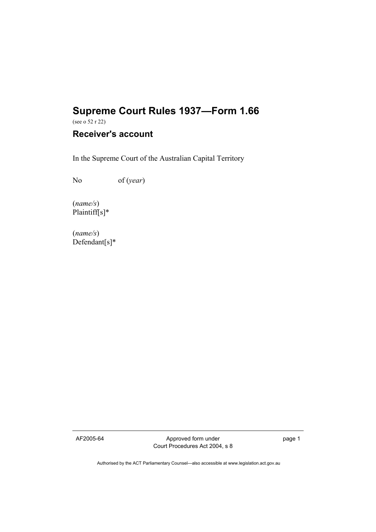# **Supreme Court Rules 1937—Form 1.66**

(see o 52 r 22)

## **Receiver's account**

In the Supreme Court of the Australian Capital Territory

No of (*year*)

(*name/s*) Plaintiff[s]\*

(*name/s*) Defendant[s]\*

AF2005-64 Approved form under Court Procedures Act 2004, s 8 page 1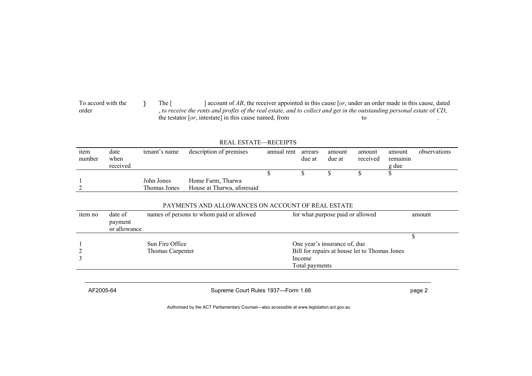To accord with the order } The [ ] account of *AB*, the receiver appointed in this cause [*or*, under an order made in this cause, dated , *to receive the rents and profits of the real estate, and to collect and get in the outstanding personal estate* of *CD*, the testator [*or*, intestate] in this cause named, from to ...

#### REAL ESTATE—RECEIPTS

| item<br>number | date<br>when | tenant's name | description of premises    | annual rent | arrears<br>due at | amount<br>due at | amount<br>received | amount<br>remainin | observations |
|----------------|--------------|---------------|----------------------------|-------------|-------------------|------------------|--------------------|--------------------|--------------|
|                | received     |               |                            |             |                   |                  |                    | g due              |              |
|                |              |               |                            |             |                   |                  |                    |                    |              |
|                |              | John Jones    | Home Farm, Tharwa          |             |                   |                  |                    |                    |              |
|                |              | Thomas Jones  | House at Tharwa, aforesaid |             |                   |                  |                    |                    |              |

#### PAYMENTS AND ALLOWANCES ON ACCOUNT OF REAL ESTATE

| item no | date of<br>payment<br>or allowance | names of persons to whom paid or allowed | for what purpose paid or allowed                                                                          | amount |
|---------|------------------------------------|------------------------------------------|-----------------------------------------------------------------------------------------------------------|--------|
|         |                                    | Sun Fire Office<br>Thomas Carpenter      | One year's insurance of, due<br>Bill for repairs at house let to Thomas Jones<br>Income<br>Total payments |        |

AF2005-64 **Supreme Court Rules 1937—Form 1.66 page 2** page 2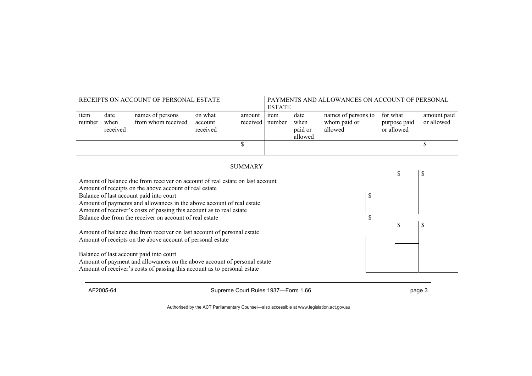| RECEIPTS ON ACCOUNT OF PERSONAL ESTATE                                                                                                                                                          |                          |                                        |                                | PAYMENTS AND ALLOWANCES ON ACCOUNT OF PERSONAL<br><b>ESTATE</b> |                |                                    |                                                |    |                                        |    |                           |
|-------------------------------------------------------------------------------------------------------------------------------------------------------------------------------------------------|--------------------------|----------------------------------------|--------------------------------|-----------------------------------------------------------------|----------------|------------------------------------|------------------------------------------------|----|----------------------------------------|----|---------------------------|
| item<br>number                                                                                                                                                                                  | date<br>when<br>received | names of persons<br>from whom received | on what<br>account<br>received | amount<br>received                                              | item<br>number | date<br>when<br>paid or<br>allowed | names of persons to<br>whom paid or<br>allowed |    | for what<br>purpose paid<br>or allowed |    | amount paid<br>or allowed |
|                                                                                                                                                                                                 |                          |                                        |                                | \$                                                              |                |                                    |                                                |    |                                        |    | \$                        |
|                                                                                                                                                                                                 |                          |                                        |                                | <b>SUMMARY</b>                                                  |                |                                    |                                                |    |                                        |    |                           |
| Amount of balance due from receiver on account of real estate on last account<br>Amount of receipts on the above account of real estate                                                         |                          |                                        |                                |                                                                 |                |                                    |                                                |    |                                        | \$ |                           |
| \$<br>Balance of last account paid into court<br>Amount of payments and allowances in the above account of real estate<br>Amount of receiver's costs of passing this account as to real estate  |                          |                                        |                                |                                                                 |                |                                    |                                                |    |                                        |    |                           |
| Balance due from the receiver on account of real estate<br>\$<br>\$                                                                                                                             |                          |                                        |                                |                                                                 |                |                                    |                                                | \$ |                                        |    |                           |
| Amount of balance due from receiver on last account of personal estate<br>Amount of receipts on the above account of personal estate                                                            |                          |                                        |                                |                                                                 |                |                                    |                                                |    |                                        |    |                           |
| Balance of last account paid into court<br>Amount of payment and allowances on the above account of personal estate<br>Amount of receiver's costs of passing this account as to personal estate |                          |                                        |                                |                                                                 |                |                                    |                                                |    |                                        |    |                           |

AF2005-64 **Supreme Court Rules 1937—Form 1.66 page 3** page 3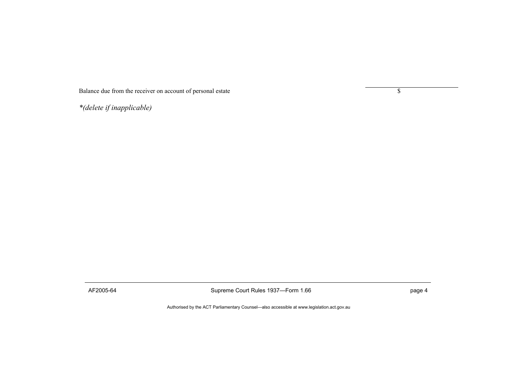Balance due from the receiver on account of personal estate  $\frac{1}{\sqrt{2\pi}}$ 

*\*(delete if inapplicable)* 

AF2005-64 **Supreme Court Rules 1937—Form 1.66 page 4** page 4